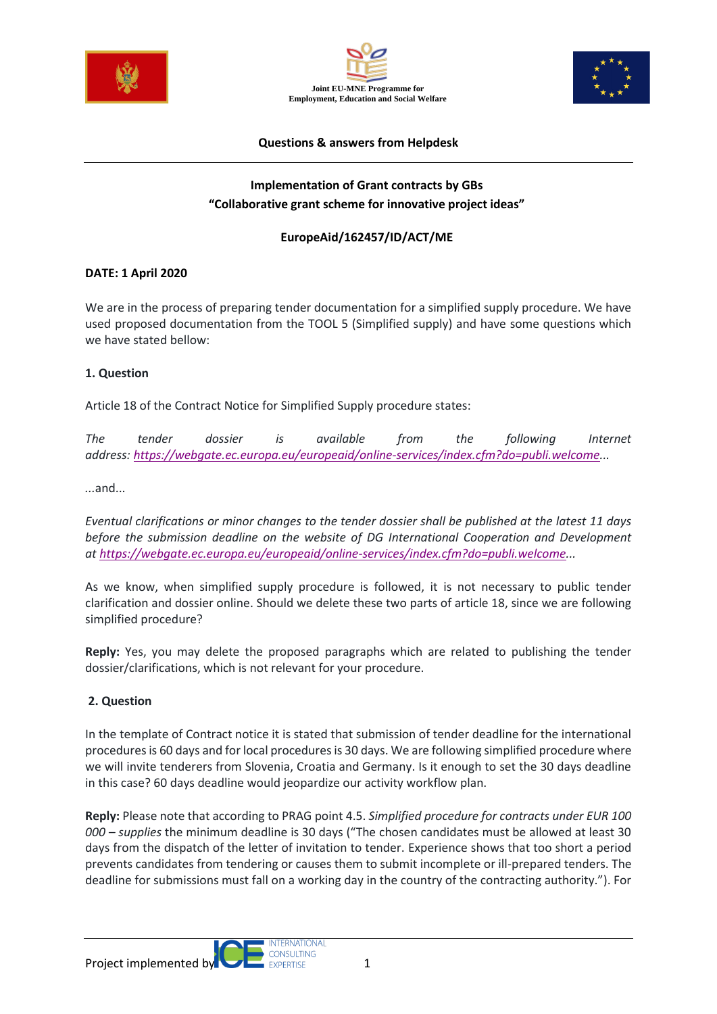





#### **Questions & answers from Helpdesk**

# **Implementation of Grant contracts by GBs "Collaborative grant scheme for innovative project ideas"**

## **EuropeAid/162457/ID/ACT/ME**

## **DATE: 1 April 2020**

We are in the process of preparing tender documentation for a simplified supply procedure. We have used proposed documentation from the TOOL 5 (Simplified supply) and have some questions which we have stated bellow:

## **1. Question**

Article 18 of the Contract Notice for Simplified Supply procedure states:

*The tender dossier is available from the following Internet address: [https://webgate.ec.europa.eu/europeaid/online-services/index.cfm?do=publi.welcome.](https://webgate.ec.europa.eu/europeaid/online-services/index.cfm?do=publi.welcome)..*

*...*and...

*Eventual clarifications or minor changes to the tender dossier shall be published at the latest 11 days before the submission deadline on the website of DG International Cooperation and Development at [https://webgate.ec.europa.eu/europeaid/online-services/index.cfm?do=publi.welcome.](https://webgate.ec.europa.eu/europeaid/online-services/index.cfm?do=publi.welcome)..*

As we know, when simplified supply procedure is followed, it is not necessary to public tender clarification and dossier online. Should we delete these two parts of article 18, since we are following simplified procedure?

**Reply:** Yes, you may delete the proposed paragraphs which are related to publishing the tender dossier/clarifications, which is not relevant for your procedure.

#### **2. Question**

In the template of Contract notice it is stated that submission of tender deadline for the international procedures is 60 days and for local procedures is 30 days. We are following simplified procedure where we will invite tenderers from Slovenia, Croatia and Germany. Is it enough to set the 30 days deadline in this case? 60 days deadline would jeopardize our activity workflow plan.

**Reply:** Please note that according to PRAG point 4.5. *Simplified procedure for contracts under EUR 100 000 – supplies* the minimum deadline is 30 days ("The chosen candidates must be allowed at least 30 days from the dispatch of the letter of invitation to tender. Experience shows that too short a period prevents candidates from tendering or causes them to submit incomplete or ill-prepared tenders. The deadline for submissions must fall on a working day in the country of the contracting authority."). For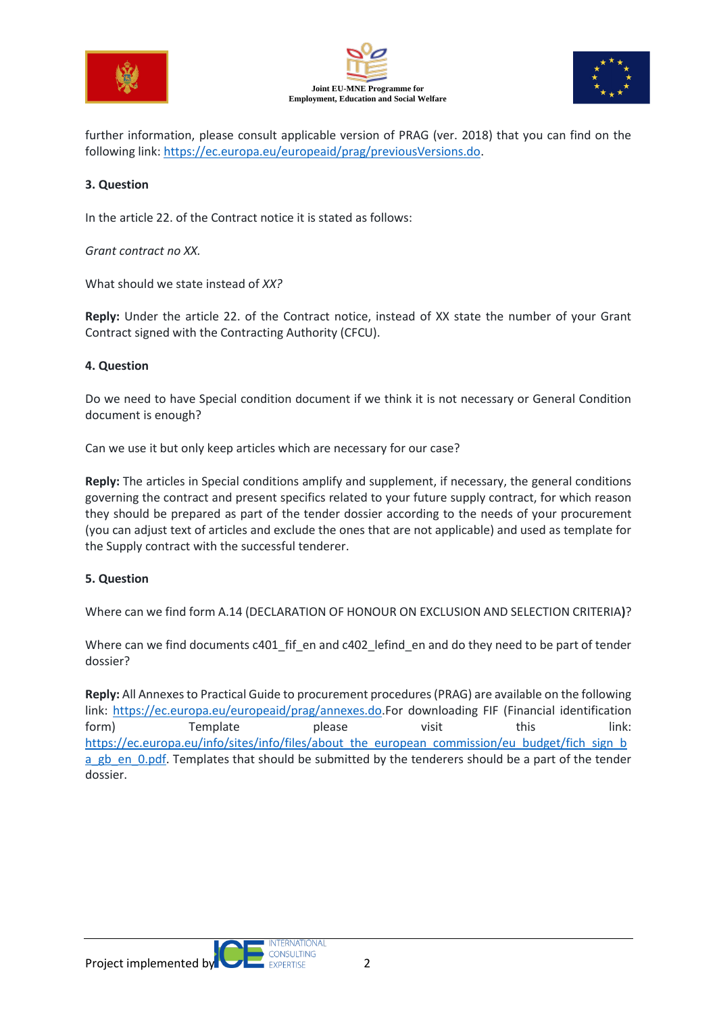





further information, please consult applicable version of PRAG (ver. 2018) that you can find on the following link: [https://ec.europa.eu/europeaid/prag/previousVersions.do.](https://ec.europa.eu/europeaid/prag/previousVersions.do)

## **3. Question**

In the article 22. of the Contract notice it is stated as follows:

*Grant contract no XX.*

What should we state instead of *XX?*

**Reply:** Under the article 22. of the Contract notice, instead of XX state the number of your Grant Contract signed with the Contracting Authority (CFCU).

## **4. Question**

Do we need to have Special condition document if we think it is not necessary or General Condition document is enough?

Can we use it but only keep articles which are necessary for our case?

**Reply:** The articles in Special conditions amplify and supplement, if necessary, the general conditions governing the contract and present specifics related to your future supply contract, for which reason they should be prepared as part of the tender dossier according to the needs of your procurement (you can adjust text of articles and exclude the ones that are not applicable) and used as template for the Supply contract with the successful tenderer.

# **5. Question**

Where can we find form A.14 (DECLARATION OF HONOUR ON EXCLUSION AND SELECTION CRITERIA**)**?

Where can we find documents c401\_fif\_en and c402\_lefind\_en and do they need to be part of tender dossier?

**Reply:** All Annexes to Practical Guide to procurement procedures (PRAG) are available on the following link: [https://ec.europa.eu/europeaid/prag/annexes.do.](https://ec.europa.eu/europeaid/prag/annexes.do)For downloading FIF (Financial identification form) Template please visit this link: [https://ec.europa.eu/info/sites/info/files/about\\_the\\_european\\_commission/eu\\_budget/fich\\_sign\\_b](https://ec.europa.eu/info/sites/info/files/about_the_european_commission/eu_budget/fich_sign_ba_gb_en_0.pdf) a gb en 0.pdf. Templates that should be submitted by the tenderers should be a part of the tender dossier.

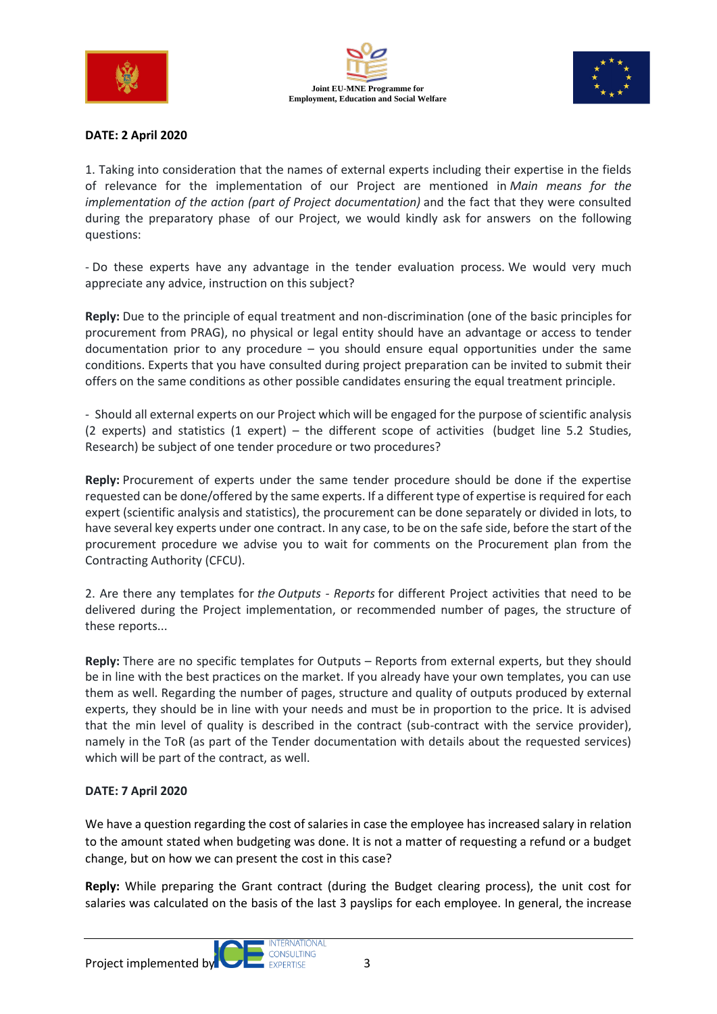





## **DATE: 2 April 2020**

1. Taking into consideration that the names of external experts including their expertise in the fields of relevance for the implementation of our Project are mentioned in *Main means for the implementation of the action (part of Project documentation)* and the fact that they were consulted during the preparatory phase of our Project, we would kindly ask for answers on the following questions:

- Do these experts have any advantage in the tender evaluation process. We would very much appreciate any advice, instruction on this subject?

**Reply:** Due to the principle of equal treatment and non-discrimination (one of the basic principles for procurement from PRAG), no physical or legal entity should have an advantage or access to tender documentation prior to any procedure – you should ensure equal opportunities under the same conditions. Experts that you have consulted during project preparation can be invited to submit their offers on the same conditions as other possible candidates ensuring the equal treatment principle.

- Should all external experts on our Project which will be engaged for the purpose of scientific analysis (2 experts) and statistics (1 expert) – the different scope of activities (budget line 5.2 Studies, Research) be subject of one tender procedure or two procedures?

**Reply:** Procurement of experts under the same tender procedure should be done if the expertise requested can be done/offered by the same experts. If a different type of expertise is required for each expert (scientific analysis and statistics), the procurement can be done separately or divided in lots, to have several key experts under one contract. In any case, to be on the safe side, before the start of the procurement procedure we advise you to wait for comments on the Procurement plan from the Contracting Authority (CFCU).

2. Are there any templates for *the Outputs - Reports* for different Project activities that need to be delivered during the Project implementation, or recommended number of pages, the structure of these reports...

**Reply:** There are no specific templates for Outputs – Reports from external experts, but they should be in line with the best practices on the market. If you already have your own templates, you can use them as well. Regarding the number of pages, structure and quality of outputs produced by external experts, they should be in line with your needs and must be in proportion to the price. It is advised that the min level of quality is described in the contract (sub-contract with the service provider), namely in the ToR (as part of the Tender documentation with details about the requested services) which will be part of the contract, as well.

#### **DATE: 7 April 2020**

We have a question regarding the cost of salaries in case the employee has increased salary in relation to the amount stated when budgeting was done. It is not a matter of requesting a refund or a budget change, but on how we can present the cost in this case?

**Reply:** While preparing the Grant contract (during the Budget clearing process), the unit cost for salaries was calculated on the basis of the last 3 payslips for each employee. In general, the increase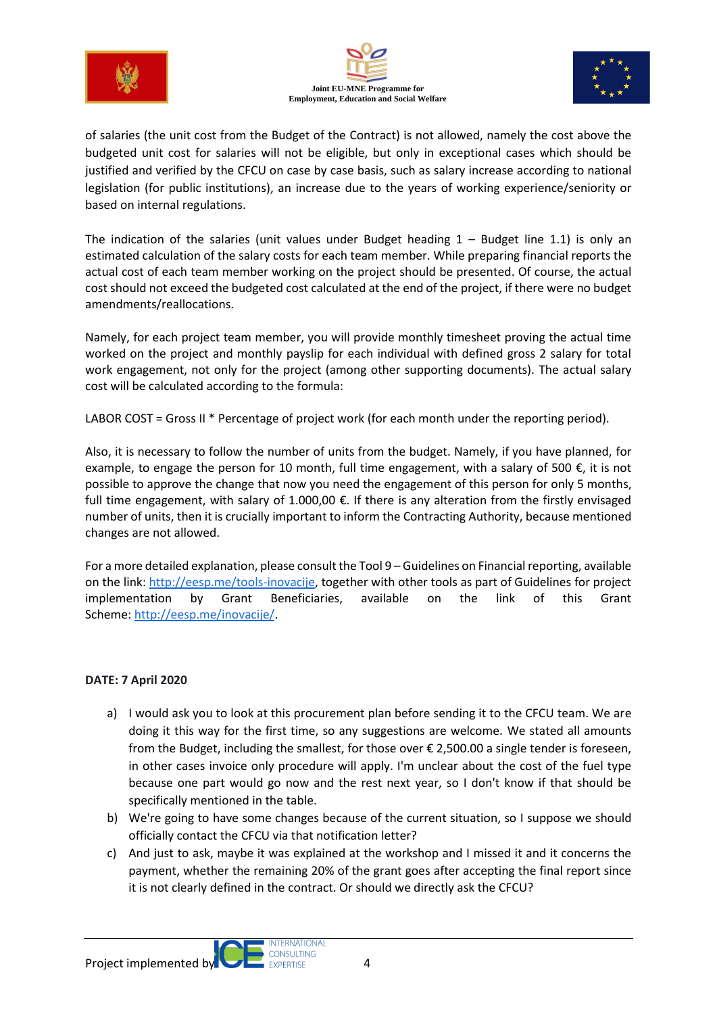





of salaries (the unit cost from the Budget of the Contract) is not allowed, namely the cost above the budgeted unit cost for salaries will not be eligible, but only in exceptional cases which should be justified and verified by the CFCU on case by case basis, such as salary increase according to national legislation (for public institutions), an increase due to the years of working experience/seniority or based on internal regulations.

The indication of the salaries (unit values under Budget heading 1 – Budget line 1.1) is only an estimated calculation of the salary costs for each team member. While preparing financial reports the actual cost of each team member working on the project should be presented. Of course, the actual cost should not exceed the budgeted cost calculated at the end of the project, if there were no budget amendments/reallocations.

Namely, for each project team member, you will provide monthly timesheet proving the actual time worked on the project and monthly payslip for each individual with defined gross 2 salary for total work engagement, not only for the project (among other supporting documents). The actual salary cost will be calculated according to the formula:

LABOR COST = Gross II \* Percentage of project work (for each month under the reporting period).

Also, it is necessary to follow the number of units from the budget. Namely, if you have planned, for example, to engage the person for 10 month, full time engagement, with a salary of 500  $\epsilon$ , it is not possible to approve the change that now you need the engagement of this person for only 5 months, full time engagement, with salary of 1.000,00  $\epsilon$ . If there is any alteration from the firstly envisaged number of units, then it is crucially important to inform the Contracting Authority, because mentioned changes are not allowed.

For a more detailed explanation, please consult the Tool 9 – Guidelines on Financial reporting, available on the link: [http://eesp.me/tools-inovacije,](http://eesp.me/tools-inovacije) together with other tools as part of Guidelines for project implementation by Grant Beneficiaries, available on the link of this Grant Scheme: [http://eesp.me/inovacije/.](http://eesp.me/inovacije/)

# **DATE: 7 April 2020**

- a) I would ask you to look at this procurement plan before sending it to the CFCU team. We are doing it this way for the first time, so any suggestions are welcome. We stated all amounts from the Budget, including the smallest, for those over € 2,500.00 a single tender is foreseen, in other cases invoice only procedure will apply. I'm unclear about the cost of the fuel type because one part would go now and the rest next year, so I don't know if that should be specifically mentioned in the table.
- b) We're going to have some changes because of the current situation, so I suppose we should officially contact the CFCU via that notification letter?
- c) And just to ask, maybe it was explained at the workshop and I missed it and it concerns the payment, whether the remaining 20% of the grant goes after accepting the final report since it is not clearly defined in the contract. Or should we directly ask the CFCU?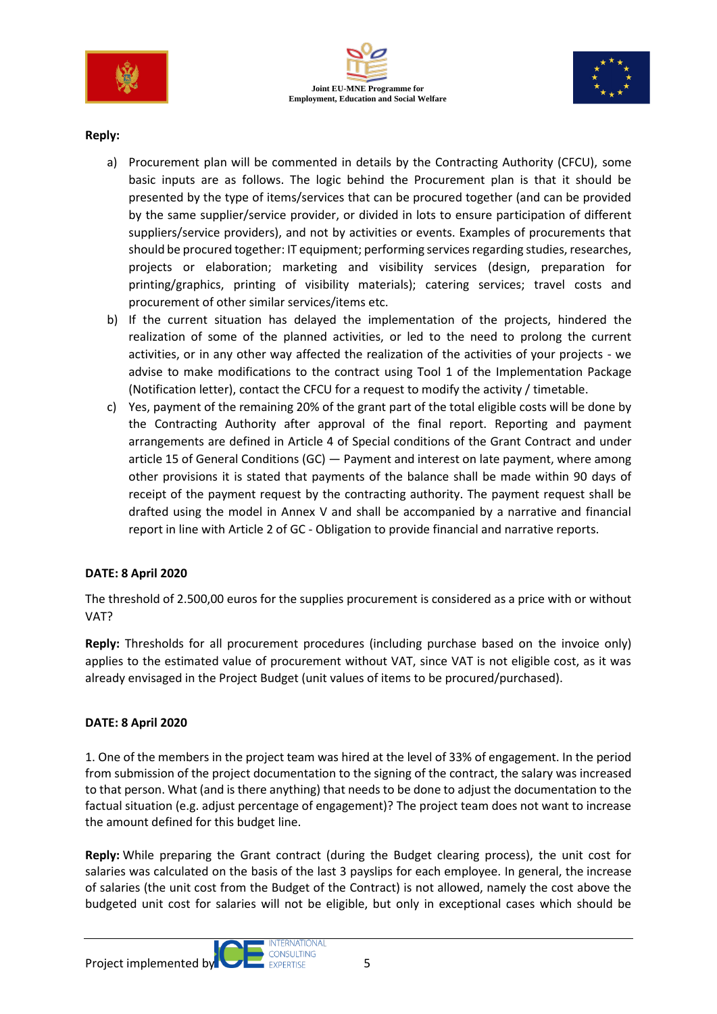





## **Reply:**

- a) Procurement plan will be commented in details by the Contracting Authority (CFCU), some basic inputs are as follows. The logic behind the Procurement plan is that it should be presented by the type of items/services that can be procured together (and can be provided by the same supplier/service provider, or divided in lots to ensure participation of different suppliers/service providers), and not by activities or events. Examples of procurements that should be procured together: IT equipment; performing services regarding studies, researches, projects or elaboration; marketing and visibility services (design, preparation for printing/graphics, printing of visibility materials); catering services; travel costs and procurement of other similar services/items etc.
- b) If the current situation has delayed the implementation of the projects, hindered the realization of some of the planned activities, or led to the need to prolong the current activities, or in any other way affected the realization of the activities of your projects - we advise to make modifications to the contract using Tool 1 of the Implementation Package (Notification letter), contact the CFCU for a request to modify the activity / timetable.
- c) Yes, payment of the remaining 20% of the grant part of the total eligible costs will be done by the Contracting Authority after approval of the final report. Reporting and payment arrangements are defined in Article 4 of Special conditions of the Grant Contract and under article 15 of General Conditions (GC) — Payment and interest on late payment, where among other provisions it is stated that payments of the balance shall be made within 90 days of receipt of the payment request by the contracting authority. The payment request shall be drafted using the model in Annex V and shall be accompanied by a narrative and financial report in line with Article 2 of GC - Obligation to provide financial and narrative reports.

# **DATE: 8 April 2020**

The threshold of 2.500,00 euros for the supplies procurement is considered as a price with or without VAT?

**Reply:** Thresholds for all procurement procedures (including purchase based on the invoice only) applies to the estimated value of procurement without VAT, since VAT is not eligible cost, as it was already envisaged in the Project Budget (unit values of items to be procured/purchased).

#### **DATE: 8 April 2020**

1. One of the members in the project team was hired at the level of 33% of engagement. In the period from submission of the project documentation to the signing of the contract, the salary was increased to that person. What (and is there anything) that needs to be done to adjust the documentation to the factual situation (e.g. adjust percentage of engagement)? The project team does not want to increase the amount defined for this budget line.

**Reply:** While preparing the Grant contract (during the Budget clearing process), the unit cost for salaries was calculated on the basis of the last 3 payslips for each employee. In general, the increase of salaries (the unit cost from the Budget of the Contract) is not allowed, namely the cost above the budgeted unit cost for salaries will not be eligible, but only in exceptional cases which should be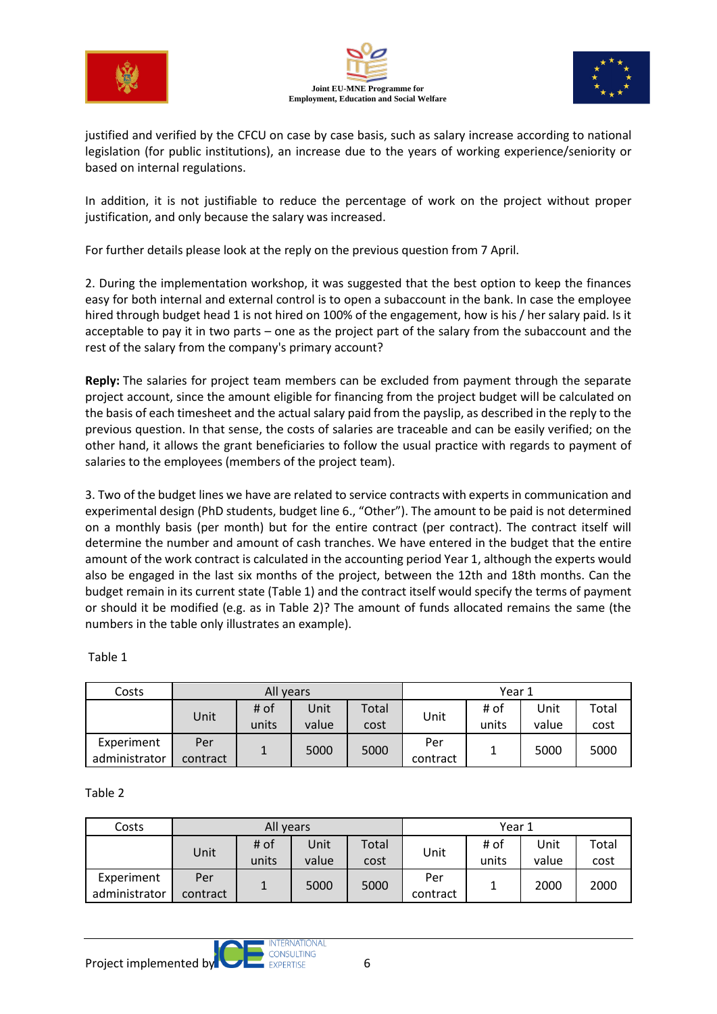





justified and verified by the CFCU on case by case basis, such as salary increase according to national legislation (for public institutions), an increase due to the years of working experience/seniority or based on internal regulations.

In addition, it is not justifiable to reduce the percentage of work on the project without proper justification, and only because the salary was increased.

For further details please look at the reply on the previous question from 7 April.

2. During the implementation workshop, it was suggested that the best option to keep the finances easy for both internal and external control is to open a subaccount in the bank. In case the employee hired through budget head 1 is not hired on 100% of the engagement, how is his / her salary paid. Is it acceptable to pay it in two parts – one as the project part of the salary from the subaccount and the rest of the salary from the company's primary account?

**Reply:** The salaries for project team members can be excluded from payment through the separate project account, since the amount eligible for financing from the project budget will be calculated on the basis of each timesheet and the actual salary paid from the payslip, as described in the reply to the previous question. In that sense, the costs of salaries are traceable and can be easily verified; on the other hand, it allows the grant beneficiaries to follow the usual practice with regards to payment of salaries to the employees (members of the project team).

3. Two of the budget lines we have are related to service contracts with experts in communication and experimental design (PhD students, budget line 6., "Other"). The amount to be paid is not determined on a monthly basis (per month) but for the entire contract (per contract). The contract itself will determine the number and amount of cash tranches. We have entered in the budget that the entire amount of the work contract is calculated in the accounting period Year 1, although the experts would also be engaged in the last six months of the project, between the 12th and 18th months. Can the budget remain in its current state (Table 1) and the contract itself would specify the terms of payment or should it be modified (e.g. as in Table 2)? The amount of funds allocated remains the same (the numbers in the table only illustrates an example).

| Costs                       | All years       |               |               |               | Year 1          |               |               |               |
|-----------------------------|-----------------|---------------|---------------|---------------|-----------------|---------------|---------------|---------------|
|                             | Unit            | # of<br>units | Unit<br>value | Total<br>cost | Unit            | # of<br>units | Jnit<br>value | Total<br>cost |
| Experiment<br>administrator | Per<br>contract |               | 5000          | 5000          | Per<br>contract | 1             | 5000          | 5000          |

Table 1

Table 2

| Costs                       | All years       |               |               |               | Year 1          |               |               |               |
|-----------------------------|-----------------|---------------|---------------|---------------|-----------------|---------------|---------------|---------------|
|                             | Unit            | # of<br>units | Unit<br>value | Total<br>cost | Unit            | # of<br>units | Unit<br>value | Total<br>cost |
| Experiment<br>administrator | Per<br>contract | 1             | 5000          | 5000          | Per<br>contract |               | 2000          | 2000          |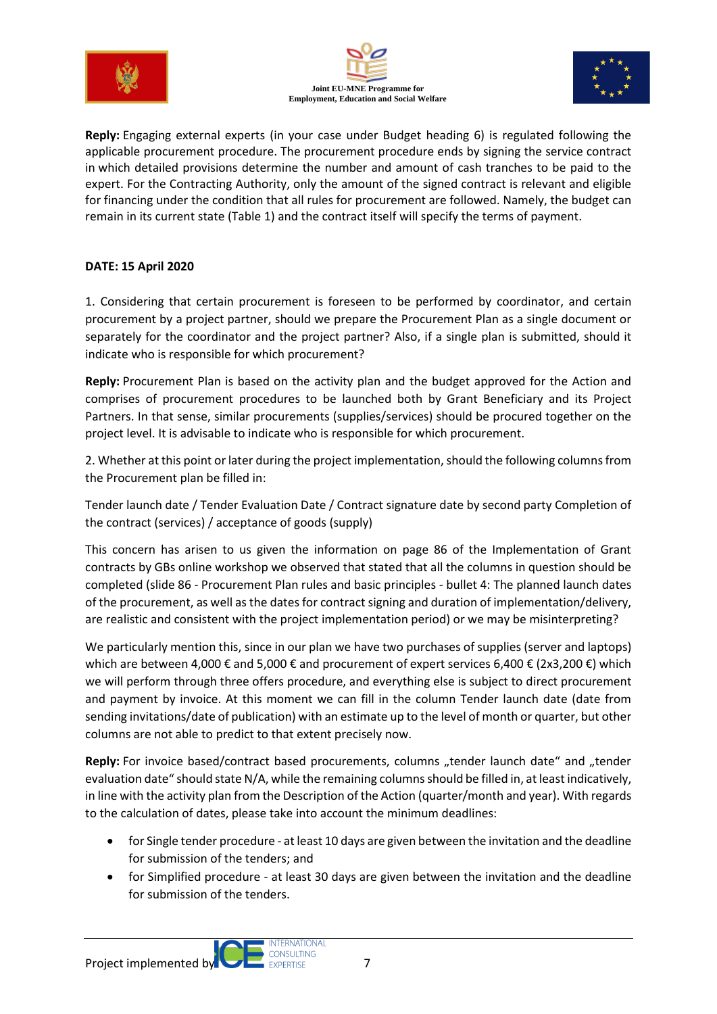





**Reply:** Engaging external experts (in your case under Budget heading 6) is regulated following the applicable procurement procedure. The procurement procedure ends by signing the service contract in which detailed provisions determine the number and amount of cash tranches to be paid to the expert. For the Contracting Authority, only the amount of the signed contract is relevant and eligible for financing under the condition that all rules for procurement are followed. Namely, the budget can remain in its current state (Table 1) and the contract itself will specify the terms of payment.

# **DATE: 15 April 2020**

1. Considering that certain procurement is foreseen to be performed by coordinator, and certain procurement by a project partner, should we prepare the Procurement Plan as a single document or separately for the coordinator and the project partner? Also, if a single plan is submitted, should it indicate who is responsible for which procurement?

**Reply:** Procurement Plan is based on the activity plan and the budget approved for the Action and comprises of procurement procedures to be launched both by Grant Beneficiary and its Project Partners. In that sense, similar procurements (supplies/services) should be procured together on the project level. It is advisable to indicate who is responsible for which procurement.

2. Whether at this point or later during the project implementation, should the following columns from the Procurement plan be filled in:

Tender launch date / Tender Evaluation Date / Contract signature date by second party Completion of the contract (services) / acceptance of goods (supply)

This concern has arisen to us given the information on page 86 of the Implementation of Grant contracts by GBs online workshop we observed that stated that all the columns in question should be completed (slide 86 - Procurement Plan rules and basic principles - bullet 4: The planned launch dates of the procurement, as well as the dates for contract signing and duration of implementation/delivery, are realistic and consistent with the project implementation period) or we may be misinterpreting?

We particularly mention this, since in our plan we have two purchases of supplies (server and laptops) which are between 4,000 € and 5,000 € and procurement of expert services 6,400 € (2x3,200 €) which we will perform through three offers procedure, and everything else is subject to direct procurement and payment by invoice. At this moment we can fill in the column Tender launch date (date from sending invitations/date of publication) with an estimate up to the level of month or quarter, but other columns are not able to predict to that extent precisely now.

Reply: For invoice based/contract based procurements, columns "tender launch date" and "tender evaluation date" should state N/A, while the remaining columns should be filled in, at least indicatively, in line with the activity plan from the Description of the Action (quarter/month and year). With regards to the calculation of dates, please take into account the minimum deadlines:

- for Single tender procedure at least 10 days are given between the invitation and the deadline for submission of the tenders; and
- for Simplified procedure at least 30 days are given between the invitation and the deadline for submission of the tenders.